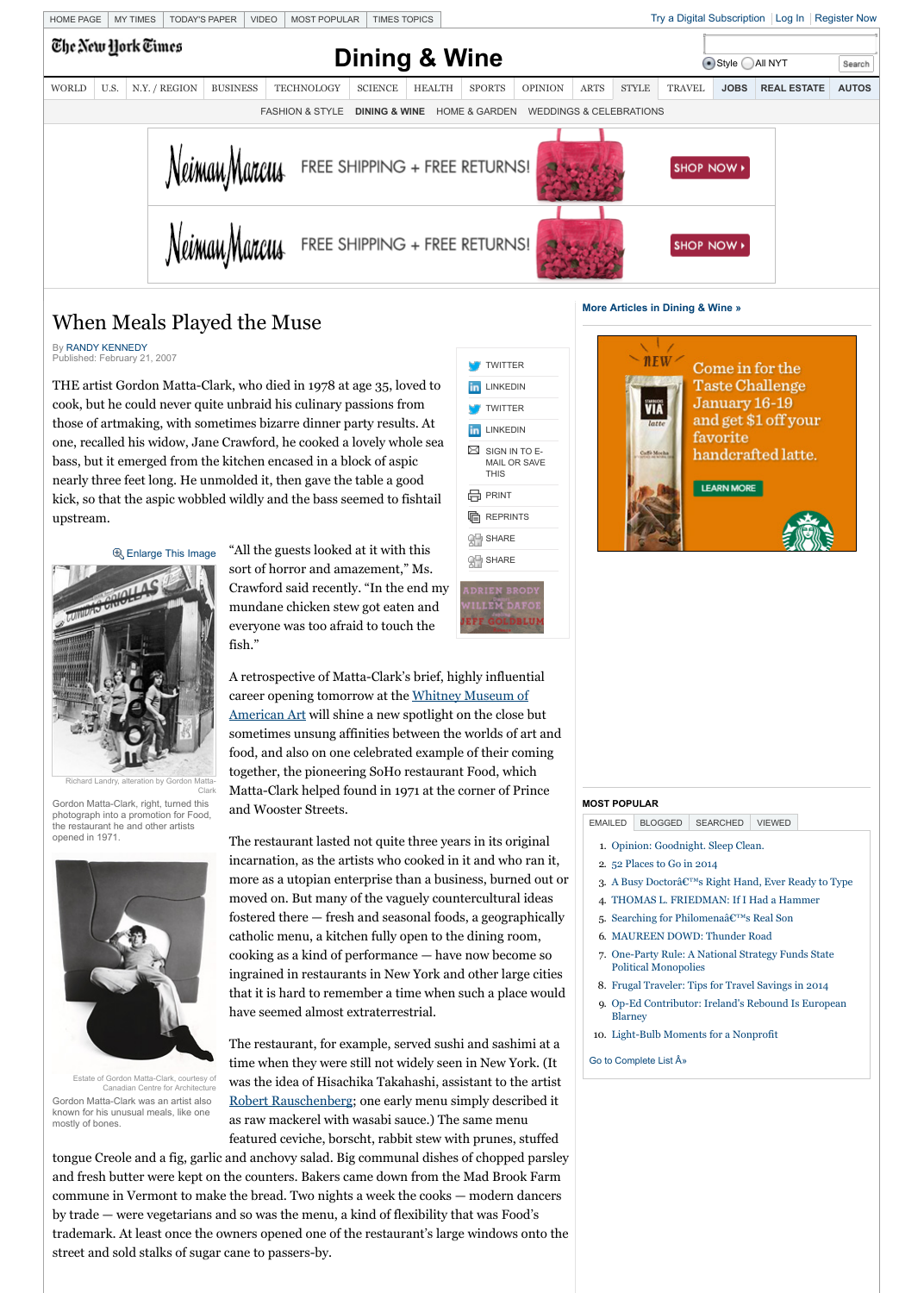

Richard Landry, alteration by Gordon Matta-Clark

Gordon Matta-Clark, right, turned this photograph into a promotion for Food, the restaurant he and other artists opened in 1971.



Estate of Gordon Matta-Clark, courtesy of Canadian Centre for Architecture

Gordon Matta-Clark was an artist also known for his unusual meals, like one mostly of bones.

mundane chicken stew got eaten and [ev](http://www.nytimes.com/pages/todayspaper/index.html)e[ryone](http://www.nytimes.com/video) [was too afraid](http://www.nytimes.com/mostpopular) t[o touch the](http://topics.nytimes.com/top/reference/timestopics/) fish."



A retrospective of [Matta-Clark's brief, highly infl](http://www.nytimes.com/pages/dining/index.html)uent [caree](http://www.nytimes.com/pages/business/index.html)r [opening tomo](http://www.nytimes.com/pages/technology/index.html)r[row at th](http://www.nytimes.com/pages/science/index.html)e [Whitne](http://www.nytimes.com/pages/health/index.html)y [Museum](http://www.nytimes.com/pages/sports/index.html) [of](http://www.nytimes.com/pages/opinion/index.html) Ame[rican Art will sh](http://www.nytimes.com/pages/fashion/index.html)i[ne a new spot](http://www.nytimes.com/pages/dining/index.html)li[ght on the clos](http://www.nytimes.com/pages/garden/index.html)e sometimes unsung affinities between the worlds of a food, and also on one celebrated example of their composed. together, the pioneering SoHo restaurant Food, which Matta-Clark helped found in 1971 at the corner of Pr and Wooster Streets.

The restaurant lasted not quite three years in its original incarnation, as the artists who cooked in it and who  $r$ more as a utopian enterprise than a business, burned moved on. But many of the vaguely countercultural i fostered there  $-$  fresh and seasonal foods, a geograp catholic menu, a kitchen fully open to the dining room  $\cosh($  as a kind of performance  $-$  have now becom ingrained in restaurants in New York and other large that it is hard to remember a time when such a place have seemed almost extraterrestrial.

The restaurant, for example, served sushi and sashin time when they were still not widely seen in New York. was the idea of Hisachika Takahashi, assistant to the Robert Rauschenberg; one early menu simply descri as raw mackerel with wasabi sauce.) The same menu featured ceviche, borscht, rabbit stew with prunes, st

tongue Cr[eole and a fig, garlic](javascript:pop_me_up2() and anchovy salad. Big communal dishes of chopped and fresh butter were kept on the counters. Bakers came down from the Mad Brook [commune in Vermont to mak](javascript:pop_me_up2()e the bread. Two nights a week the cooks - modern dancers by trade — were vegetarians and so was the menu, a kind of flexibility that was Food trademark. At least once the owners opened one of the restaurant's large windows o street and sold stalks of sugar cane to passers-by.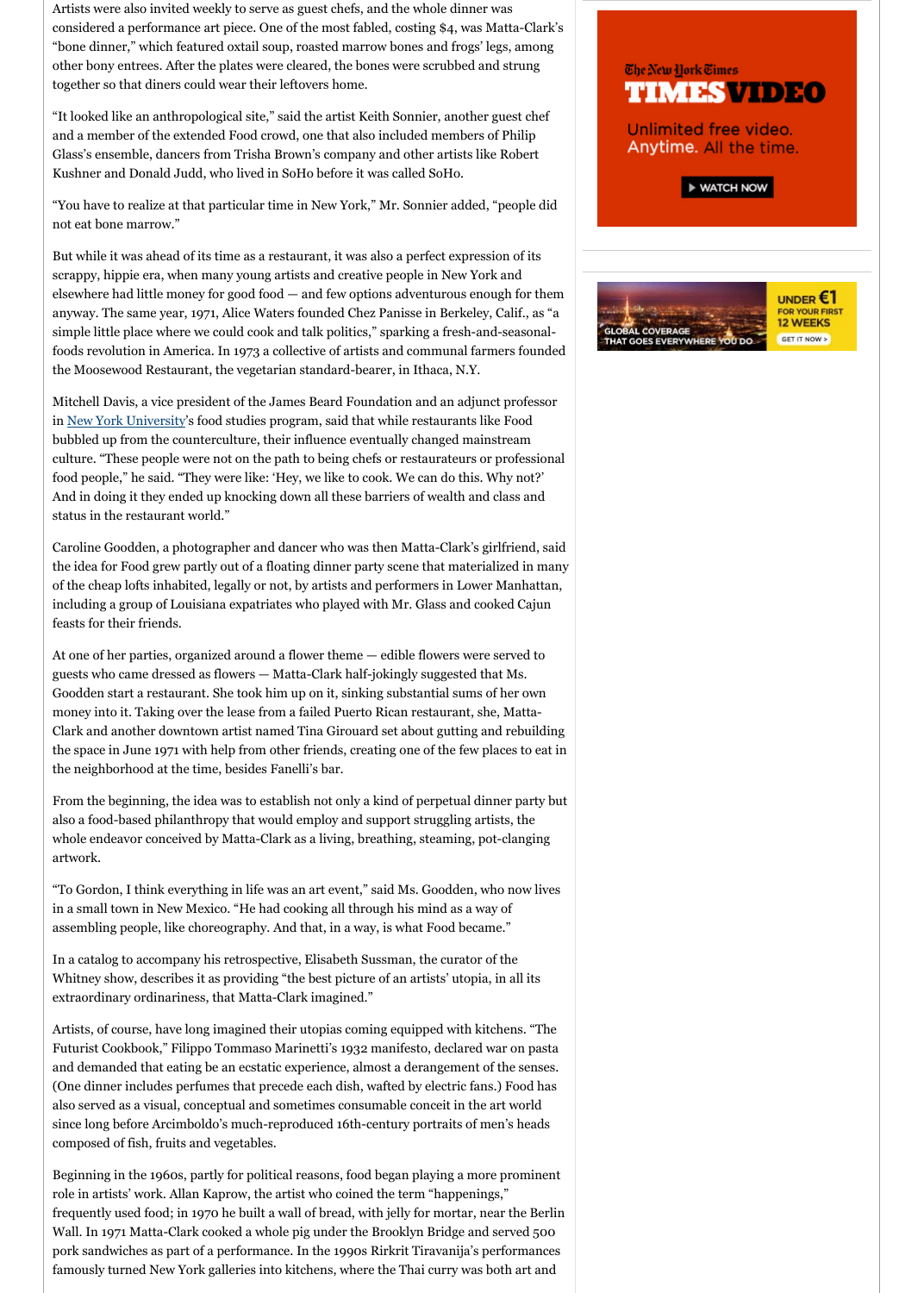including a group of Louisiana expatriates who played with Mr. Glass and cooked Cajun feasts for their friends.

At one of her parties, organized around a flower theme  $-$  edible flowers were served guests who came dressed as flowers — Matta-Clark half-jokingly suggested that Ms. Goodden start a restaurant. She took him up on it, sinking substantial sums of her own money into it. Taking over the lease from a failed Puerto Rican restaurant, she, Mat Clark and another downtown artist named Tina Girouard set about gutting and rebundle the space in June 1971 with help from other friends, creating one of the few places to the neighborhood at the time, besides Fanelli's bar.

From the beginning, the idea was to establish not only a kind of perpetual dinner party but also a food-based philanthropy that would employ and support struggling artists, the whole endeavor conceived by Matta-Clark as a living, breathing, steaming, pot-clanged artwork.

"To Gordon, I think everything in life was an art event," said Ms. Goodden, who now lives in a small town in New Mexico. "He had cooking all through his mind as a way of assembling people, like choreography. And that, in a way, is what Food became."

In a catalog to accompany his retrospective, Elisabeth Sussman, the curator of the Whitney show, describes it as providing "the best picture of an artists' utopia, in all extraordinary ordinariness, that Matta-Clark imagined."

A[rtists, of course, have l](http://topics.nytimes.com/top/reference/timestopics/organizations/n/new_york_university/index.html?inline=nyt-org)ong imagined their utopias coming equipped with kitchens. Futurist Cookbook," Filippo Tommaso Marinetti's 1932 manifesto, declared war on and demanded that eating be an ecstatic experience, almost a derangement of the se (One dinner includes perfumes that precede each dish, wafted by electric fans.) Foo also served as a visual, conceptual and sometimes consumable conceit in the art world since long before Arcimboldo's much-reproduced 16th-century portraits of men's heads composed of fish, fruits and vegetables.

Beginning in the 1960s, partly for political reasons, food began playing a more prom role in artists' work. Allan Kaprow, the artist who coined the term "happenings," frequently used food; in 1970 he built a wall of bread, with jelly for mortar, near the Wall. In 1971 Matta-Clark cooked a whole pig under the Brooklyn Bridge and served pork sandwiches as part of a performance. In the 1990s Rirkrit Tiravanija's perform famously turned New York galleries into kitchens, where the Thai curry was both are